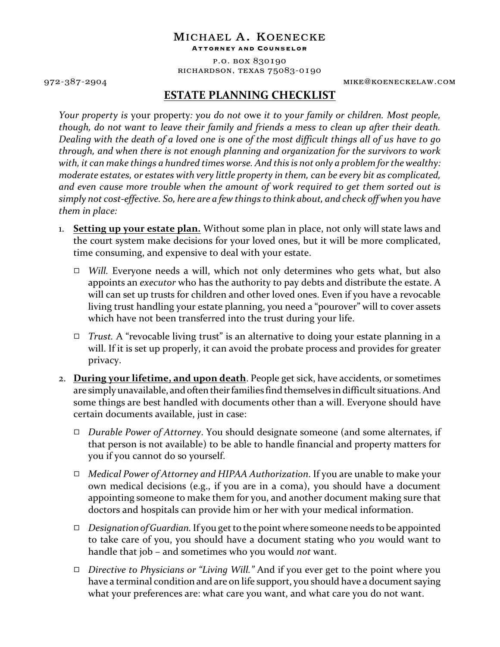## michael a. koenecke

Attorney and Counselor

p.o. box 830190 richardson, texas 75083-0190

972-387-2904 mike@koeneckelaw.com

## **ESTATE PLANNING CHECKLIST**

*Your property is* your property*: you do not* owe *it to your family or children. Most people, though, do not want to leave their family and friends a mess to clean up after their death. Dealing with the death of a loved one is one of the most difficult things all of us have to go through, and when there is not enough planning and organization for the survivors to work with, it can make things a hundred times worse. And this is not only a problem for the wealthy: moderate estates, or estates with very little property in them, can be every bit as complicated, and even cause more trouble when the amount of work required to get them sorted out is simply not cost-effective. So, here are a few things to think about, and check off when you have them in place:*

- 1. **Setting up your estate plan.** Without some plan in place, not only will state laws and the court system make decisions for your loved ones, but it will be more complicated, time consuming, and expensive to deal with your estate.
	- $\Box$  *Will.* Everyone needs a will, which not only determines who gets what, but also appoints an *executor* who has the authority to pay debts and distribute the estate. A will can set up trusts for children and other loved ones. Even if you have a revocable living trust handling your estate planning, you need a "pourover" will to cover assets which have not been transferred into the trust during your life.
	- 9 *Trust.* A "revocable living trust" is an alternative to doing your estate planning in a will. If it is set up properly, it can avoid the probate process and provides for greater privacy.
- 2. **During your lifetime, and upon death**. People get sick, have accidents, or sometimes are simply unavailable, and often their families find themselves in difficult situations. And some things are best handled with documents other than a will. Everyone should have certain documents available, just in case:
	- 9 *Durable Power of Attorney*. You should designate someone (and some alternates, if that person is not available) to be able to handle financial and property matters for you if you cannot do so yourself.
	- 9 *Medical Power of Attorney and HIPAA Authorization*. If you are unable to make your own medical decisions (e.g., if you are in a coma), you should have a document appointing someone to make them for you, and another document making sure that doctors and hospitals can provide him or her with your medical information.
	- 9 *Designation of Guardian.*If you get to the point where someone needs to be appointed to take care of you, you should have a document stating who *you* would want to handle that job – and sometimes who you would *not* want.
	- 9 *Directive to Physicians or "Living Will."* And if you ever get to the point where you have a terminal condition and are on life support, you should have a document saying what your preferences are: what care you want, and what care you do not want.